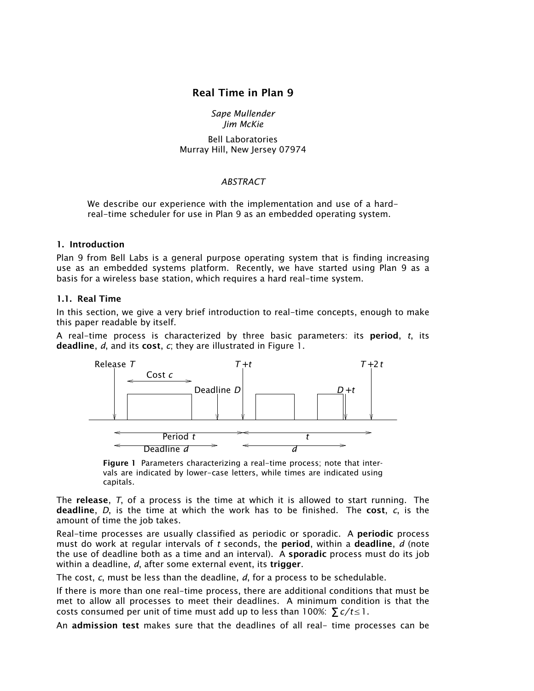# Real Time in Plan 9

#### *Sape Mullender Jim McKie*

Bell Laboratories Murray Hill, New Jersey 07974

#### *ABSTRACT*

We describe our experience with the implementation and use of a hardreal-time scheduler for use in Plan 9 as an embedded operating system.

### 1. Introduction

Plan 9 from Bell Labs is a general purpose operating system that is finding increasing use as an embedded systems platform. Recently, we have started using Plan 9 as a basis for a wireless base station, which requires a hard real-time system.

#### 1.1. Real Time

In this section, we give a very brief introduction to real-time concepts, enough to make this paper readable by itself.

A real-time process is characterized by three basic parameters: its period, *t*, its deadline, *d*, and its cost, *c*; they are illustrated in Figure 1.



Figure 1 Parameters characterizing a real-time process; note that intervals are indicated by lower-case letters, while times are indicated using capitals.

The release, *T*, of a process is the time at which it is allowed to start running. The deadline, *D*, is the time at which the work has to be finished. The cost, *c*, is the amount of time the job takes.

Real-time processes are usually classified as periodic or sporadic. A periodic process must do work at regular intervals of *t* seconds, the period, within a deadline, *d* (note the use of deadline both as a time and an interval). A sporadic process must do its job within a deadline, *d*, after some external event, its trigger.

The cost, *c*, must be less than the deadline, *d*, for a process to be schedulable.

If there is more than one real-time process, there are additional conditions that must be met to allow all processes to meet their deadlines. A minimum condition is that the costs consumed per unit of time must add up to less than 100%:  $\sum c/t \leq 1$ .

An admission test makes sure that the deadlines of all real- time processes can be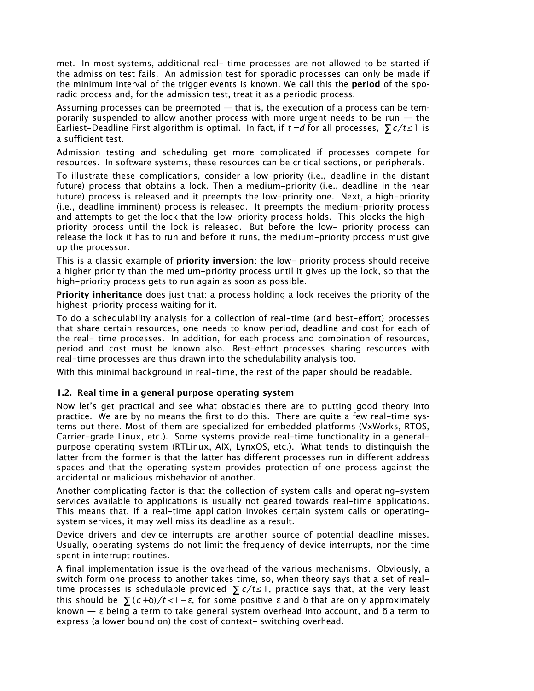met. In most systems, additional real- time processes are not allowed to be started if the admission test fails. An admission test for sporadic processes can only be made if the minimum interval of the trigger events is known. We call this the period of the sporadic process and, for the admission test, treat it as a periodic process.

Assuming processes can be preempted  $-$  that is, the execution of a process can be temporarily suspended to allow another process with more urgent needs to be run  $-$  the Earliest-Deadline First algorithm is optimal. In fact, if  $t = d$  for all processes,  $\sum c/t \leq 1$  is a sufficient test.

Admission testing and scheduling get more complicated if processes compete for resources. In software systems, these resources can be critical sections, or peripherals.

To illustrate these complications, consider a low-priority (i.e., deadline in the distant future) process that obtains a lock. Then a medium-priority (i.e., deadline in the near future) process is released and it preempts the low-priority one. Next, a high-priority (i.e., deadline imminent) process is released. It preempts the medium-priority process and attempts to get the lock that the low-priority process holds. This blocks the highpriority process until the lock is released. But before the low- priority process can release the lock it has to run and before it runs, the medium-priority process must give up the processor.

This is a classic example of **priority inversion**: the low- priority process should receive a higher priority than the medium-priority process until it gives up the lock, so that the high-priority process gets to run again as soon as possible.

Priority inheritance does just that: a process holding a lock receives the priority of the highest-priority process waiting for it.

To do a schedulability analysis for a collection of real-time (and best-effort) processes that share certain resources, one needs to know period, deadline and cost for each of the real- time processes. In addition, for each process and combination of resources, period and cost must be known also. Best-effort processes sharing resources with real-time processes are thus drawn into the schedulability analysis too.

With this minimal background in real-time, the rest of the paper should be readable.

#### 1.2. Real time in a general purpose operating system

Now let's get practical and see what obstacles there are to putting good theory into practice. We are by no means the first to do this. There are quite a few real-time systems out there. Most of them are specialized for embedded platforms (VxWorks, RTOS, Carrier-grade Linux, etc.). Some systems provide real-time functionality in a generalpurpose operating system (RTLinux, AIX, LynxOS, etc.). What tends to distinguish the latter from the former is that the latter has different processes run in different address spaces and that the operating system provides protection of one process against the accidental or malicious misbehavior of another.

Another complicating factor is that the collection of system calls and operating-system services available to applications is usually not geared towards real-time applications. This means that, if a real-time application invokes certain system calls or operatingsystem services, it may well miss its deadline as a result.

Device drivers and device interrupts are another source of potential deadline misses. Usually, operating systems do not limit the frequency of device interrupts, nor the time spent in interrupt routines.

A final implementation issue is the overhead of the various mechanisms. Obviously, a switch form one process to another takes time, so, when theory says that a set of realtime processes is schedulable provided  $\sum c/t \leq 1$ , practice says that, at the very least this should be  $\sum (c+\delta)/t < 1-\epsilon$ , for some positive  $\epsilon$  and  $\delta$  that are only approximately known  $-\varepsilon$  being a term to take general system overhead into account, and  $\delta$  a term to express (a lower bound on) the cost of context- switching overhead.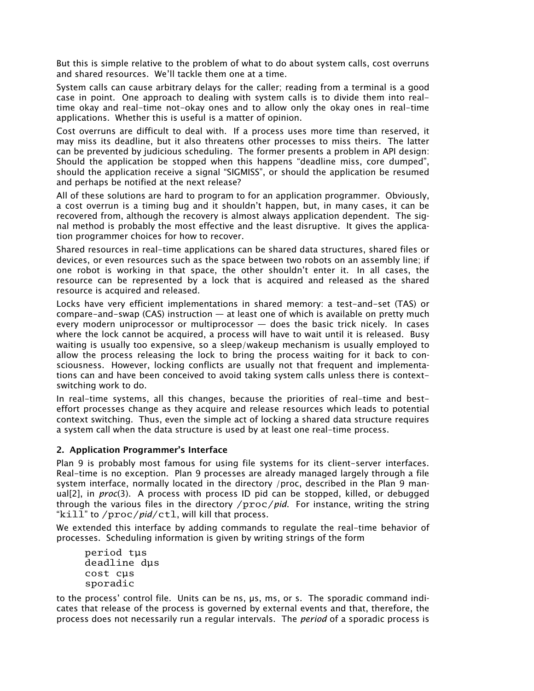But this is simple relative to the problem of what to do about system calls, cost overruns and shared resources. We'll tackle them one at a time.

System calls can cause arbitrary delays for the caller; reading from a terminal is a good case in point. One approach to dealing with system calls is to divide them into realtime okay and real-time not-okay ones and to allow only the okay ones in real-time applications. Whether this is useful is a matter of opinion.

Cost overruns are difficult to deal with. If a process uses more time than reserved, it may miss its deadline, but it also threatens other processes to miss theirs. The latter can be prevented by judicious scheduling. The former presents a problem in API design: Should the application be stopped when this happens "deadline miss, core dumped", should the application receive a signal "SIGMISS", or should the application be resumed and perhaps be notified at the next release?

All of these solutions are hard to program to for an application programmer. Obviously, a cost overrun is a timing bug and it shouldn't happen, but, in many cases, it can be recovered from, although the recovery is almost always application dependent. The signal method is probably the most effective and the least disruptive. It gives the application programmer choices for how to recover.

Shared resources in real-time applications can be shared data structures, shared files or devices, or even resources such as the space between two robots on an assembly line; if one robot is working in that space, the other shouldn't enter it. In all cases, the resource can be represented by a lock that is acquired and released as the shared resource is acquired and released.

Locks have very efficient implementations in shared memory: a test-and-set (TAS) or  $compare-and-swap (CAS) instruction - at least one of which is available on pretty much$ every modern uniprocessor or multiprocessor  $-$  does the basic trick nicely. In cases where the lock cannot be acquired, a process will have to wait until it is released. Busy waiting is usually too expensive, so a sleep/wakeup mechanism is usually employed to allow the process releasing the lock to bring the process waiting for it back to consciousness. However, locking conflicts are usually not that frequent and implementations can and have been conceived to avoid taking system calls unless there is contextswitching work to do.

In real-time systems, all this changes, because the priorities of real-time and besteffort processes change as they acquire and release resources which leads to potential context switching. Thus, even the simple act of locking a shared data structure requires a system call when the data structure is used by at least one real-time process.

#### 2. Application Programmer's Interface

Plan 9 is probably most famous for using file systems for its client-server interfaces. Real-time is no exception. Plan 9 processes are already managed largely through a file system interface, normally located in the directory /proc, described in the Plan 9 manual[2], in *proc*(3). A process with process ID pid can be stopped, killed, or debugged through the various files in the directory /proc/*pid*. For instance, writing the string "kill" to /proc/pid/ctl, will kill that process.

We extended this interface by adding commands to regulate the real-time behavior of processes. Scheduling information is given by writing strings of the form

period tµs deadline dµs cost cµs sporadic

to the process' control file. Units can be ns,  $\mu s$ , ms, or s. The sporadic command indicates that release of the process is governed by external events and that, therefore, the process does not necessarily run a regular intervals. The *period* of a sporadic process is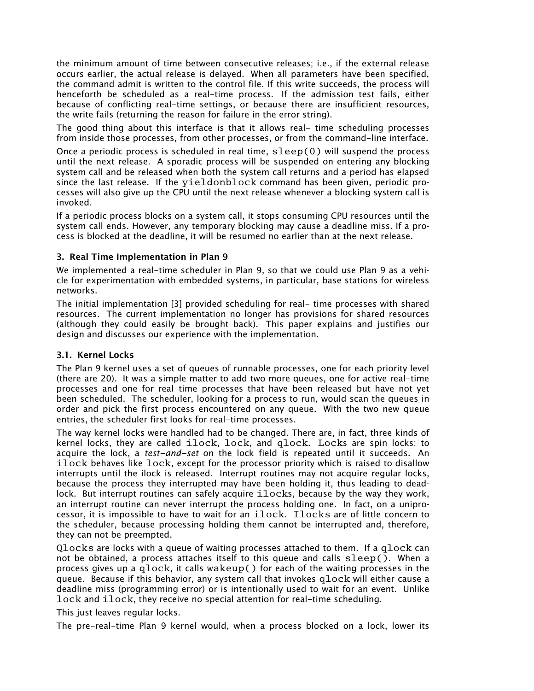the minimum amount of time between consecutive releases; i.e., if the external release occurs earlier, the actual release is delayed. When all parameters have been specified, the command admit is written to the control file. If this write succeeds, the process will henceforth be scheduled as a real-time process. If the admission test fails, either because of conflicting real-time settings, or because there are insufficient resources, the write fails (returning the reason for failure in the error string).

The good thing about this interface is that it allows real- time scheduling processes from inside those processes, from other processes, or from the command-line interface.

Once a periodic process is scheduled in real time,  $s^\text{loop}(0)$  will suspend the process until the next release. A sporadic process will be suspended on entering any blocking system call and be released when both the system call returns and a period has elapsed since the last release. If the yieldonblock command has been given, periodic processes will also give up the CPU until the next release whenever a blocking system call is invoked.

If a periodic process blocks on a system call, it stops consuming CPU resources until the system call ends. However, any temporary blocking may cause a deadline miss. If a process is blocked at the deadline, it will be resumed no earlier than at the next release.

#### 3. Real Time Implementation in Plan 9

We implemented a real-time scheduler in Plan 9, so that we could use Plan 9 as a vehicle for experimentation with embedded systems, in particular, base stations for wireless networks.

The initial implementation [3] provided scheduling for real- time processes with shared resources. The current implementation no longer has provisions for shared resources (although they could easily be brought back). This paper explains and justifies our design and discusses our experience with the implementation.

#### 3.1. Kernel Locks

The Plan 9 kernel uses a set of queues of runnable processes, one for each priority level (there are 20). It was a simple matter to add two more queues, one for active real-time processes and one for real-time processes that have been released but have not yet been scheduled. The scheduler, looking for a process to run, would scan the queues in order and pick the first process encountered on any queue. With the two new queue entries, the scheduler first looks for real-time processes.

The way kernel locks were handled had to be changed. There are, in fact, three kinds of kernel locks, they are called ilock, lock, and qlock. Locks are spin locks: to acquire the lock, a *test−and−set* on the lock field is repeated until it succeeds. An ilock behaves like lock, except for the processor priority which is raised to disallow interrupts until the ilock is released. Interrupt routines may not acquire regular locks, because the process they interrupted may have been holding it, thus leading to deadlock. But interrupt routines can safely acquire ilocks, because by the way they work, an interrupt routine can never interrupt the process holding one. In fact, on a uniprocessor, it is impossible to have to wait for an ilock. Ilocks are of little concern to the scheduler, because processing holding them cannot be interrupted and, therefore, they can not be preempted.

Qlocks are locks with a queue of waiting processes attached to them. If a qlock can not be obtained, a process attaches itself to this queue and calls sleep(). When a process gives up a qlock, it calls wakeup() for each of the waiting processes in the queue. Because if this behavior, any system call that invokes qlock will either cause a deadline miss (programming error) or is intentionally used to wait for an event. Unlike lock and ilock, they receive no special attention for real-time scheduling.

This just leaves regular locks.

The pre-real-time Plan 9 kernel would, when a process blocked on a lock, lower its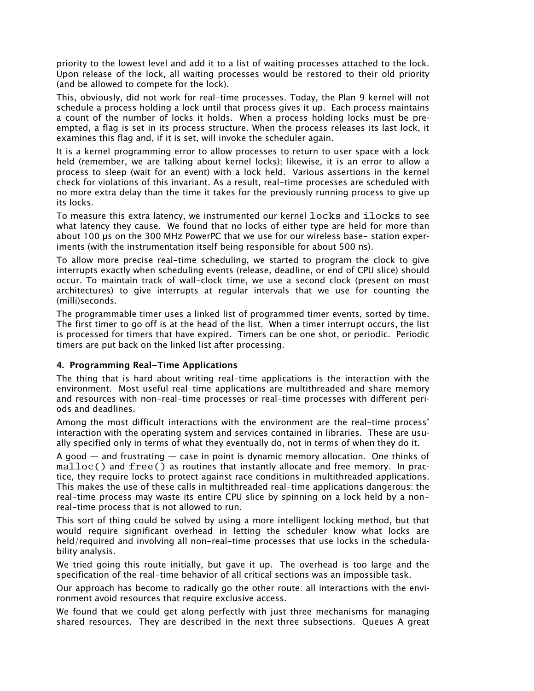priority to the lowest level and add it to a list of waiting processes attached to the lock. Upon release of the lock, all waiting processes would be restored to their old priority (and be allowed to compete for the lock).

This, obviously, did not work for real-time processes. Today, the Plan 9 kernel will not schedule a process holding a lock until that process gives it up. Each process maintains a count of the number of locks it holds. When a process holding locks must be preempted, a flag is set in its process structure. When the process releases its last lock, it examines this flag and, if it is set, will invoke the scheduler again.

It is a kernel programming error to allow processes to return to user space with a lock held (remember, we are talking about kernel locks); likewise, it is an error to allow a process to sleep (wait for an event) with a lock held. Various assertions in the kernel check for violations of this invariant. As a result, real-time processes are scheduled with no more extra delay than the time it takes for the previously running process to give up its locks.

To measure this extra latency, we instrumented our kernel locks and ilocks to see what latency they cause. We found that no locks of either type are held for more than about 100 µs on the 300 MHz PowerPC that we use for our wireless base- station experiments (with the instrumentation itself being responsible for about 500 ns).

To allow more precise real-time scheduling, we started to program the clock to give interrupts exactly when scheduling events (release, deadline, or end of CPU slice) should occur. To maintain track of wall-clock time, we use a second clock (present on most architectures) to give interrupts at regular intervals that we use for counting the (milli)seconds.

The programmable timer uses a linked list of programmed timer events, sorted by time. The first timer to go off is at the head of the list. When a timer interrupt occurs, the list is processed for timers that have expired. Timers can be one shot, or periodic. Periodic timers are put back on the linked list after processing.

#### 4. Programming Real−Time Applications

The thing that is hard about writing real-time applications is the interaction with the environment. Most useful real-time applications are multithreaded and share memory and resources with non-real-time processes or real-time processes with different periods and deadlines.

Among the most difficult interactions with the environment are the real-time process interaction with the operating system and services contained in libraries. These are usually specified only in terms of what they eventually do, not in terms of when they do it.

A good  $-$  and frustrating  $-$  case in point is dynamic memory allocation. One thinks of malloc() and free() as routines that instantly allocate and free memory. In practice, they require locks to protect against race conditions in multithreaded applications. This makes the use of these calls in multithreaded real-time applications dangerous: the real-time process may waste its entire CPU slice by spinning on a lock held by a nonreal-time process that is not allowed to run.

This sort of thing could be solved by using a more intelligent locking method, but that would require significant overhead in letting the scheduler know what locks are held/required and involving all non-real-time processes that use locks in the schedulability analysis.

We tried going this route initially, but gave it up. The overhead is too large and the specification of the real-time behavior of all critical sections was an impossible task.

Our approach has become to radically go the other route: all interactions with the environment avoid resources that require exclusive access.

We found that we could get along perfectly with just three mechanisms for managing shared resources. They are described in the next three subsections. Queues A great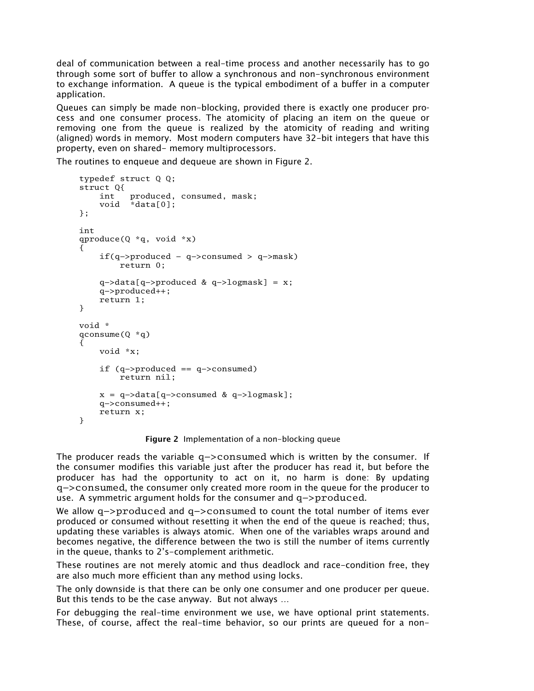deal of communication between a real-time process and another necessarily has to go through some sort of buffer to allow a synchronous and non-synchronous environment to exchange information. A queue is the typical embodiment of a buffer in a computer application.

Queues can simply be made non-blocking, provided there is exactly one producer process and one consumer process. The atomicity of placing an item on the queue or removing one from the queue is realized by the atomicity of reading and writing (aligned) words in memory. Most modern computers have 32-bit integers that have this property, even on shared- memory multiprocessors.

The routines to enqueue and dequeue are shown in Figure 2.

```
typedef struct Q Q;
struct Q{
   int produced, consumed, mask;
    void *data[0];
};
int
qproduce(Q * q, void * x)
{
    if(q−>produced − q−>consumed > q−>mask)
       return 0;
    q−>data[q−>produced & q−>logmask] = x;
    q−>produced++;
    return 1;
}
void *
qconsume(Q *q)
{
   void *x;
    if (q−>produced == q−>consumed)
        return nil;
   x = q−>data[q−>consumed & q−>logmask];
    q−>consumed++;
   return x;
}
```
Figure 2 Implementation of a non-blocking queue

The producer reads the variable q−>consumed which is written by the consumer. If the consumer modifies this variable just after the producer has read it, but before the producer has had the opportunity to act on it, no harm is done: By updating q−>consumed, the consumer only created more room in the queue for the producer to use. A symmetric argument holds for the consumer and q−>produced.

We allow q−>produced and q−>consumed to count the total number of items ever produced or consumed without resetting it when the end of the queue is reached; thus, updating these variables is always atomic. When one of the variables wraps around and becomes negative, the difference between the two is still the number of items currently in the queue, thanks to  $2's$ -complement arithmetic.

These routines are not merely atomic and thus deadlock and race-condition free, they are also much more efficient than any method using locks.

The only downside is that there can be only one consumer and one producer per queue. But this tends to be the case anyway. But not always ...

For debugging the real-time environment we use, we have optional print statements. These, of course, affect the real-time behavior, so our prints are queued for a non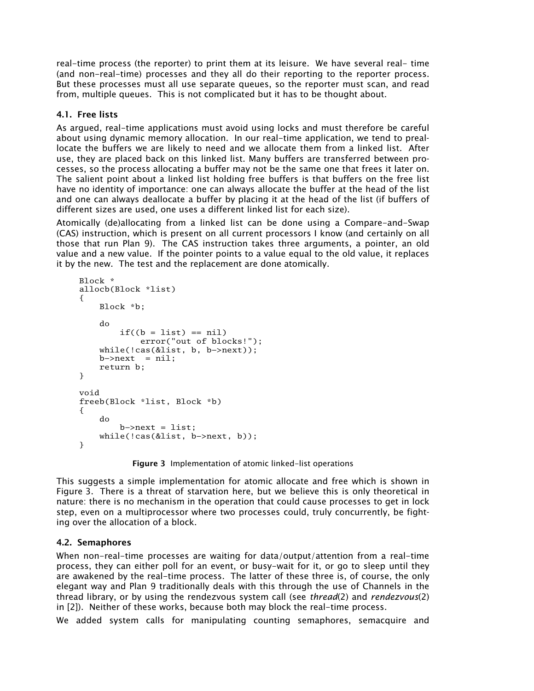real-time process (the reporter) to print them at its leisure. We have several real- time (and non-real-time) processes and they all do their reporting to the reporter process. But these processes must all use separate queues, so the reporter must scan, and read from, multiple queues. This is not complicated but it has to be thought about.

## 4.1. Free lists

As argued, real-time applications must avoid using locks and must therefore be careful about using dynamic memory allocation. In our real-time application, we tend to preallocate the buffers we are likely to need and we allocate them from a linked list. After use, they are placed back on this linked list. Many buffers are transferred between processes, so the process allocating a buffer may not be the same one that frees it later on. The salient point about a linked list holding free buffers is that buffers on the free list have no identity of importance: one can always allocate the buffer at the head of the list and one can always deallocate a buffer by placing it at the head of the list (if buffers of different sizes are used, one uses a different linked list for each size).

Atomically (de)allocating from a linked list can be done using a Compare-and-Swap (CAS) instruction, which is present on all current processors I know (and certainly on all those that run Plan 9). The CAS instruction takes three arguments, a pointer, an old value and a new value. If the pointer points to a value equal to the old value, it replaces it by the new. The test and the replacement are done atomically.

```
Block *
allocb(Block *list)
{
    Block *b;
    do
        if((b = list) == nil)error("out of blocks!");
    while(!cas(&list, b, b−>next));
    b \rightarrow next = nil;return b;
}
void
freeb(Block *list, Block *b)
{
    do
        b−>next = list;
    while(!cas(&list, b−>next, b));
}
```
Figure 3 Implementation of atomic linked-list operations

This suggests a simple implementation for atomic allocate and free which is shown in Figure 3. There is a threat of starvation here, but we believe this is only theoretical in nature: there is no mechanism in the operation that could cause processes to get in lock step, even on a multiprocessor where two processes could, truly concurrently, be fighting over the allocation of a block.

# 4.2. Semaphores

When non-real-time processes are waiting for data/output/attention from a real-time process, they can either poll for an event, or busy-wait for it, or go to sleep until they are awakened by the real-time process. The latter of these three is, of course, the only elegant way and Plan 9 traditionally deals with this through the use of Channels in the thread library, or by using the rendezvous system call (see *thread*(2) and *rendezvous*(2) in [2]). Neither of these works, because both may block the real-time process.

We added system calls for manipulating counting semaphores, semacquire and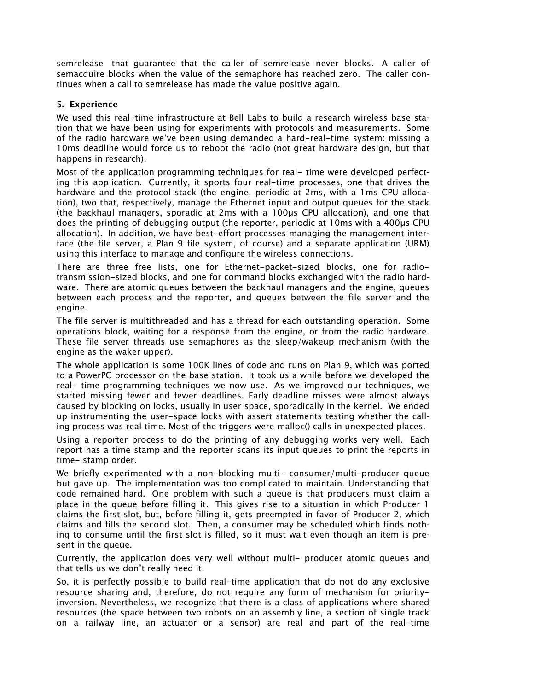semrelease that guarantee that the caller of semrelease never blocks. A caller of semacquire blocks when the value of the semaphore has reached zero. The caller continues when a call to semrelease has made the value positive again.

#### 5. Experience

We used this real-time infrastructure at Bell Labs to build a research wireless base station that we have been using for experiments with protocols and measurements. Some of the radio hardware we've been using demanded a hard-real-time system: missing a 10ms deadline would force us to reboot the radio (not great hardware design, but that happens in research).

Most of the application programming techniques for real- time were developed perfecting this application. Currently, it sports four real-time processes, one that drives the hardware and the protocol stack (the engine, periodic at 2ms, with a 1ms CPU allocation), two that, respectively, manage the Ethernet input and output queues for the stack (the backhaul managers, sporadic at 2ms with a 100µs CPU allocation), and one that does the printing of debugging output (the reporter, periodic at 10ms with a 400µs CPU allocation). In addition, we have best-effort processes managing the management interface (the file server, a Plan 9 file system, of course) and a separate application (URM) using this interface to manage and configure the wireless connections.

There are three free lists, one for Ethernet-packet-sized blocks, one for radiotransmission-sized blocks, and one for command blocks exchanged with the radio hardware. There are atomic queues between the backhaul managers and the engine, queues between each process and the reporter, and queues between the file server and the engine.

The file server is multithreaded and has a thread for each outstanding operation. Some operations block, waiting for a response from the engine, or from the radio hardware. These file server threads use semaphores as the sleep/wakeup mechanism (with the engine as the waker upper).

The whole application is some 100K lines of code and runs on Plan 9, which was ported to a PowerPC processor on the base station. It took us a while before we developed the real- time programming techniques we now use. As we improved our techniques, we started missing fewer and fewer deadlines. Early deadline misses were almost always caused by blocking on locks, usually in user space, sporadically in the kernel. We ended up instrumenting the user-space locks with assert statements testing whether the calling process was real time. Most of the triggers were malloc() calls in unexpected places.

Using a reporter process to do the printing of any debugging works very well. Each report has a time stamp and the reporter scans its input queues to print the reports in time- stamp order.

We briefly experimented with a non-blocking multi- consumer/multi-producer queue but gave up. The implementation was too complicated to maintain. Understanding that code remained hard. One problem with such a queue is that producers must claim a place in the queue before filling it. This gives rise to a situation in which Producer 1 claims the first slot, but, before filling it, gets preempted in favor of Producer 2, which claims and fills the second slot. Then, a consumer may be scheduled which finds nothing to consume until the first slot is filled, so it must wait even though an item is present in the queue.

Currently, the application does very well without multi- producer atomic queues and that tells us we don't really need it.

So, it is perfectly possible to build real-time application that do not do any exclusive resource sharing and, therefore, do not require any form of mechanism for priorityinversion. Nevertheless, we recognize that there is a class of applications where shared resources (the space between two robots on an assembly line, a section of single track on a railway line, an actuator or a sensor) are real and part of the real-time